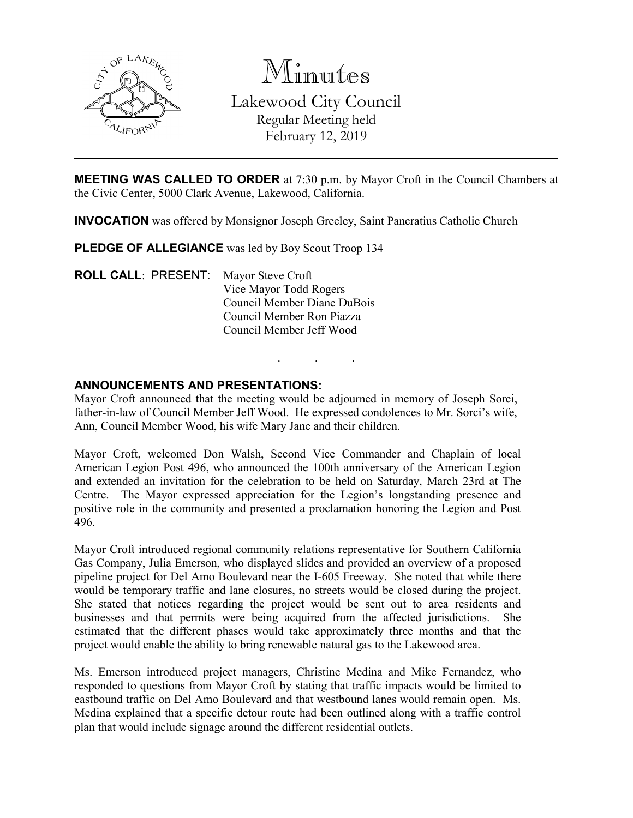

Minutes Lakewood City Council Regular Meeting held February 12, 2019

**MEETING WAS CALLED TO ORDER** at 7:30 p.m. by Mayor Croft in the Council Chambers at the Civic Center, 5000 Clark Avenue, Lakewood, California.

**INVOCATION** was offered by Monsignor Joseph Greeley, Saint Pancratius Catholic Church

**PLEDGE OF ALLEGIANCE** was led by Boy Scout Troop 134

**ROLL CALL**: PRESENT: Mayor Steve Croft Vice Mayor Todd Rogers Council Member Diane DuBois Council Member Ron Piazza Council Member Jeff Wood

## **ANNOUNCEMENTS AND PRESENTATIONS:**

Mayor Croft announced that the meeting would be adjourned in memory of Joseph Sorci, father-in-law of Council Member Jeff Wood. He expressed condolences to Mr. Sorci's wife, Ann, Council Member Wood, his wife Mary Jane and their children.

. . .

Mayor Croft, welcomed Don Walsh, Second Vice Commander and Chaplain of local American Legion Post 496, who announced the 100th anniversary of the American Legion and extended an invitation for the celebration to be held on Saturday, March 23rd at The Centre. The Mayor expressed appreciation for the Legion's longstanding presence and positive role in the community and presented a proclamation honoring the Legion and Post 496.

Mayor Croft introduced regional community relations representative for Southern California Gas Company, Julia Emerson, who displayed slides and provided an overview of a proposed pipeline project for Del Amo Boulevard near the I-605 Freeway. She noted that while there would be temporary traffic and lane closures, no streets would be closed during the project. She stated that notices regarding the project would be sent out to area residents and businesses and that permits were being acquired from the affected jurisdictions. She estimated that the different phases would take approximately three months and that the project would enable the ability to bring renewable natural gas to the Lakewood area.

Ms. Emerson introduced project managers, Christine Medina and Mike Fernandez, who responded to questions from Mayor Croft by stating that traffic impacts would be limited to eastbound traffic on Del Amo Boulevard and that westbound lanes would remain open. Ms. Medina explained that a specific detour route had been outlined along with a traffic control plan that would include signage around the different residential outlets.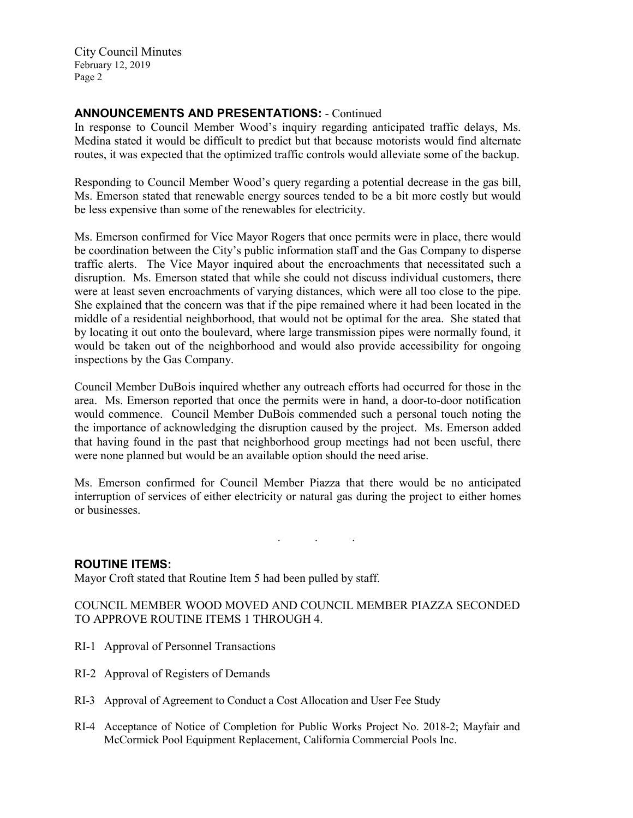# **ANNOUNCEMENTS AND PRESENTATIONS:** - Continued

In response to Council Member Wood's inquiry regarding anticipated traffic delays, Ms. Medina stated it would be difficult to predict but that because motorists would find alternate routes, it was expected that the optimized traffic controls would alleviate some of the backup.

Responding to Council Member Wood's query regarding a potential decrease in the gas bill, Ms. Emerson stated that renewable energy sources tended to be a bit more costly but would be less expensive than some of the renewables for electricity.

Ms. Emerson confirmed for Vice Mayor Rogers that once permits were in place, there would be coordination between the City's public information staff and the Gas Company to disperse traffic alerts. The Vice Mayor inquired about the encroachments that necessitated such a disruption. Ms. Emerson stated that while she could not discuss individual customers, there were at least seven encroachments of varying distances, which were all too close to the pipe. She explained that the concern was that if the pipe remained where it had been located in the middle of a residential neighborhood, that would not be optimal for the area. She stated that by locating it out onto the boulevard, where large transmission pipes were normally found, it would be taken out of the neighborhood and would also provide accessibility for ongoing inspections by the Gas Company.

Council Member DuBois inquired whether any outreach efforts had occurred for those in the area. Ms. Emerson reported that once the permits were in hand, a door-to-door notification would commence. Council Member DuBois commended such a personal touch noting the the importance of acknowledging the disruption caused by the project. Ms. Emerson added that having found in the past that neighborhood group meetings had not been useful, there were none planned but would be an available option should the need arise.

Ms. Emerson confirmed for Council Member Piazza that there would be no anticipated interruption of services of either electricity or natural gas during the project to either homes or businesses.

. . .

### **ROUTINE ITEMS:**

Mayor Croft stated that Routine Item 5 had been pulled by staff.

## COUNCIL MEMBER WOOD MOVED AND COUNCIL MEMBER PIAZZA SECONDED TO APPROVE ROUTINE ITEMS 1 THROUGH 4.

- RI-1 Approval of Personnel Transactions
- RI-2 Approval of Registers of Demands
- RI-3 Approval of Agreement to Conduct a Cost Allocation and User Fee Study
- RI-4 Acceptance of Notice of Completion for Public Works Project No. 2018-2; Mayfair and McCormick Pool Equipment Replacement, California Commercial Pools Inc.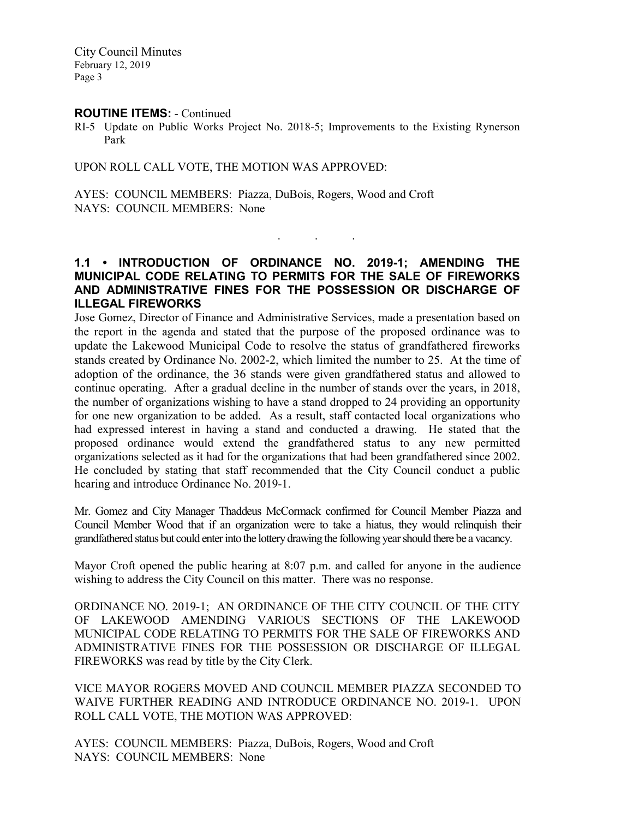#### **ROUTINE ITEMS:** - Continued

RI-5 Update on Public Works Project No. 2018-5; Improvements to the Existing Rynerson Park

UPON ROLL CALL VOTE, THE MOTION WAS APPROVED:

AYES: COUNCIL MEMBERS: Piazza, DuBois, Rogers, Wood and Croft NAYS: COUNCIL MEMBERS: None

**1.1 • INTRODUCTION OF ORDINANCE NO. 2019-1; AMENDING THE MUNICIPAL CODE RELATING TO PERMITS FOR THE SALE OF FIREWORKS AND ADMINISTRATIVE FINES FOR THE POSSESSION OR DISCHARGE OF ILLEGAL FIREWORKS**

. . .

Jose Gomez, Director of Finance and Administrative Services, made a presentation based on the report in the agenda and stated that the purpose of the proposed ordinance was to update the Lakewood Municipal Code to resolve the status of grandfathered fireworks stands created by Ordinance No. 2002-2, which limited the number to 25. At the time of adoption of the ordinance, the 36 stands were given grandfathered status and allowed to continue operating. After a gradual decline in the number of stands over the years, in 2018, the number of organizations wishing to have a stand dropped to 24 providing an opportunity for one new organization to be added. As a result, staff contacted local organizations who had expressed interest in having a stand and conducted a drawing. He stated that the proposed ordinance would extend the grandfathered status to any new permitted organizations selected as it had for the organizations that had been grandfathered since 2002. He concluded by stating that staff recommended that the City Council conduct a public hearing and introduce Ordinance No. 2019-1.

Mr. Gomez and City Manager Thaddeus McCormack confirmed for Council Member Piazza and Council Member Wood that if an organization were to take a hiatus, they would relinquish their grandfathered status but could enter into the lottery drawing the following year should there be a vacancy.

Mayor Croft opened the public hearing at 8:07 p.m. and called for anyone in the audience wishing to address the City Council on this matter. There was no response.

ORDINANCE NO. 2019-1; AN ORDINANCE OF THE CITY COUNCIL OF THE CITY OF LAKEWOOD AMENDING VARIOUS SECTIONS OF THE LAKEWOOD MUNICIPAL CODE RELATING TO PERMITS FOR THE SALE OF FIREWORKS AND ADMINISTRATIVE FINES FOR THE POSSESSION OR DISCHARGE OF ILLEGAL FIREWORKS was read by title by the City Clerk.

VICE MAYOR ROGERS MOVED AND COUNCIL MEMBER PIAZZA SECONDED TO WAIVE FURTHER READING AND INTRODUCE ORDINANCE NO. 2019-1. UPON ROLL CALL VOTE, THE MOTION WAS APPROVED:

AYES: COUNCIL MEMBERS: Piazza, DuBois, Rogers, Wood and Croft NAYS: COUNCIL MEMBERS: None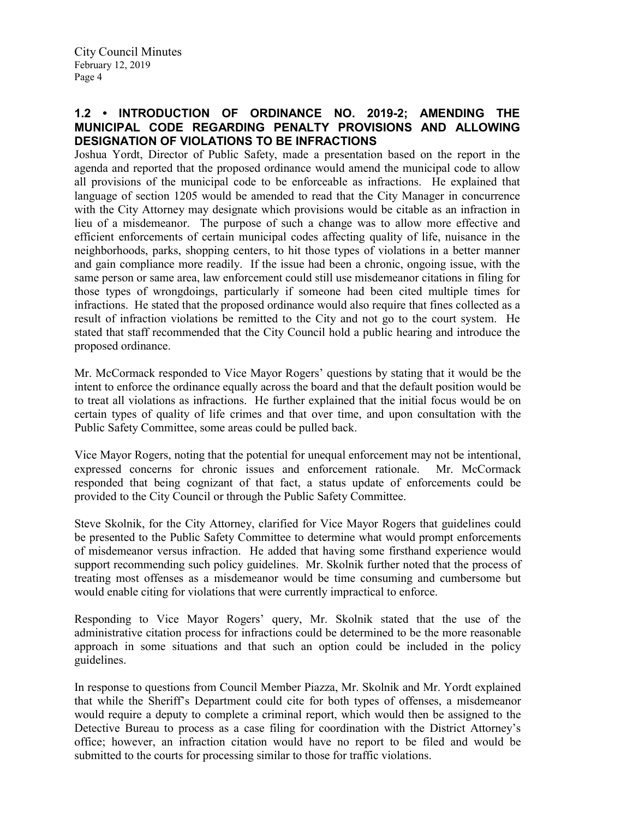## **1.2 • INTRODUCTION OF ORDINANCE NO. 2019-2; AMENDING THE MUNICIPAL CODE REGARDING PENALTY PROVISIONS AND ALLOWING DESIGNATION OF VIOLATIONS TO BE INFRACTIONS**

Joshua Yordt, Director of Public Safety, made a presentation based on the report in the agenda and reported that the proposed ordinance would amend the municipal code to allow all provisions of the municipal code to be enforceable as infractions. He explained that language of section 1205 would be amended to read that the City Manager in concurrence with the City Attorney may designate which provisions would be citable as an infraction in lieu of a misdemeanor. The purpose of such a change was to allow more effective and efficient enforcements of certain municipal codes affecting quality of life, nuisance in the neighborhoods, parks, shopping centers, to hit those types of violations in a better manner and gain compliance more readily. If the issue had been a chronic, ongoing issue, with the same person or same area, law enforcement could still use misdemeanor citations in filing for those types of wrongdoings, particularly if someone had been cited multiple times for infractions. He stated that the proposed ordinance would also require that fines collected as a result of infraction violations be remitted to the City and not go to the court system. He stated that staff recommended that the City Council hold a public hearing and introduce the proposed ordinance.

Mr. McCormack responded to Vice Mayor Rogers' questions by stating that it would be the intent to enforce the ordinance equally across the board and that the default position would be to treat all violations as infractions. He further explained that the initial focus would be on certain types of quality of life crimes and that over time, and upon consultation with the Public Safety Committee, some areas could be pulled back.

Vice Mayor Rogers, noting that the potential for unequal enforcement may not be intentional, expressed concerns for chronic issues and enforcement rationale. Mr. McCormack responded that being cognizant of that fact, a status update of enforcements could be provided to the City Council or through the Public Safety Committee.

Steve Skolnik, for the City Attorney, clarified for Vice Mayor Rogers that guidelines could be presented to the Public Safety Committee to determine what would prompt enforcements of misdemeanor versus infraction. He added that having some firsthand experience would support recommending such policy guidelines. Mr. Skolnik further noted that the process of treating most offenses as a misdemeanor would be time consuming and cumbersome but would enable citing for violations that were currently impractical to enforce.

Responding to Vice Mayor Rogers' query, Mr. Skolnik stated that the use of the administrative citation process for infractions could be determined to be the more reasonable approach in some situations and that such an option could be included in the policy guidelines.

In response to questions from Council Member Piazza, Mr. Skolnik and Mr. Yordt explained that while the Sheriff's Department could cite for both types of offenses, a misdemeanor would require a deputy to complete a criminal report, which would then be assigned to the Detective Bureau to process as a case filing for coordination with the District Attorney's office; however, an infraction citation would have no report to be filed and would be submitted to the courts for processing similar to those for traffic violations.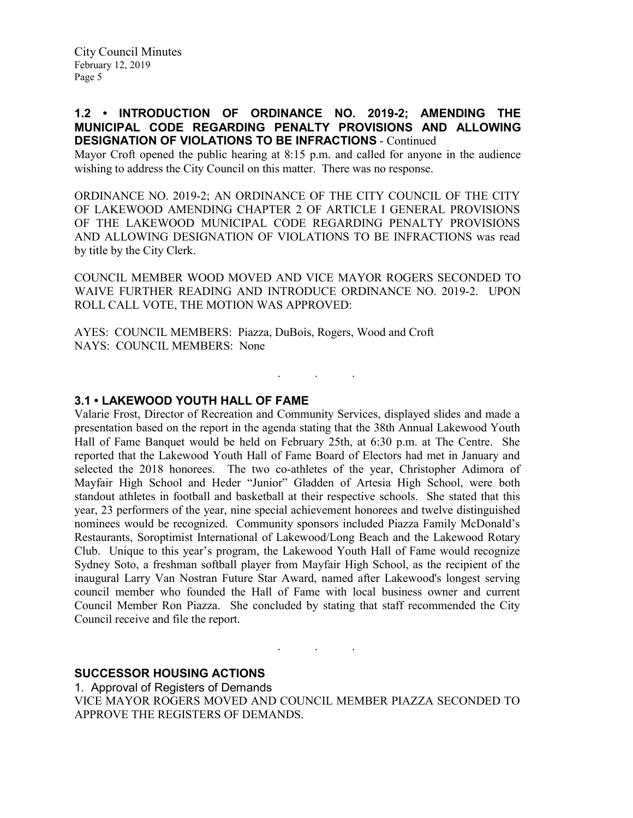### **1.2 • INTRODUCTION OF ORDINANCE NO. 2019-2; AMENDING THE MUNICIPAL CODE REGARDING PENALTY PROVISIONS AND ALLOWING DESIGNATION OF VIOLATIONS TO BE INFRACTIONS** - Continued

Mayor Croft opened the public hearing at 8:15 p.m. and called for anyone in the audience wishing to address the City Council on this matter. There was no response.

ORDINANCE NO. 2019-2; AN ORDINANCE OF THE CITY COUNCIL OF THE CITY OF LAKEWOOD AMENDING CHAPTER 2 OF ARTICLE I GENERAL PROVISIONS OF THE LAKEWOOD MUNICIPAL CODE REGARDING PENALTY PROVISIONS AND ALLOWING DESIGNATION OF VIOLATIONS TO BE INFRACTIONS was read by title by the City Clerk.

COUNCIL MEMBER WOOD MOVED AND VICE MAYOR ROGERS SECONDED TO WAIVE FURTHER READING AND INTRODUCE ORDINANCE NO. 2019-2. UPON ROLL CALL VOTE, THE MOTION WAS APPROVED:

. . .

AYES: COUNCIL MEMBERS: Piazza, DuBois, Rogers, Wood and Croft NAYS: COUNCIL MEMBERS: None

#### **3.1 • LAKEWOOD YOUTH HALL OF FAME**

Valarie Frost, Director of Recreation and Community Services, displayed slides and made a presentation based on the report in the agenda stating that the 38th Annual Lakewood Youth Hall of Fame Banquet would be held on February 25th, at 6:30 p.m. at The Centre. She reported that the Lakewood Youth Hall of Fame Board of Electors had met in January and selected the 2018 honorees. The two co-athletes of the year, Christopher Adimora of Mayfair High School and Heder "Junior" Gladden of Artesia High School, were both standout athletes in football and basketball at their respective schools. She stated that this year, 23 performers of the year, nine special achievement honorees and twelve distinguished nominees would be recognized. Community sponsors included Piazza Family McDonald's Restaurants, Soroptimist International of Lakewood/Long Beach and the Lakewood Rotary Club. Unique to this year's program, the Lakewood Youth Hall of Fame would recognize Sydney Soto, a freshman softball player from Mayfair High School, as the recipient of the inaugural Larry Van Nostran Future Star Award, named after Lakewood's longest serving council member who founded the Hall of Fame with local business owner and current Council Member Ron Piazza. She concluded by stating that staff recommended the City Council receive and file the report.

#### **SUCCESSOR HOUSING ACTIONS**

1. Approval of Registers of Demands VICE MAYOR ROGERS MOVED AND COUNCIL MEMBER PIAZZA SECONDED TO APPROVE THE REGISTERS OF DEMANDS.

 $\mathcal{L}$  . The set of the  $\mathcal{L}$